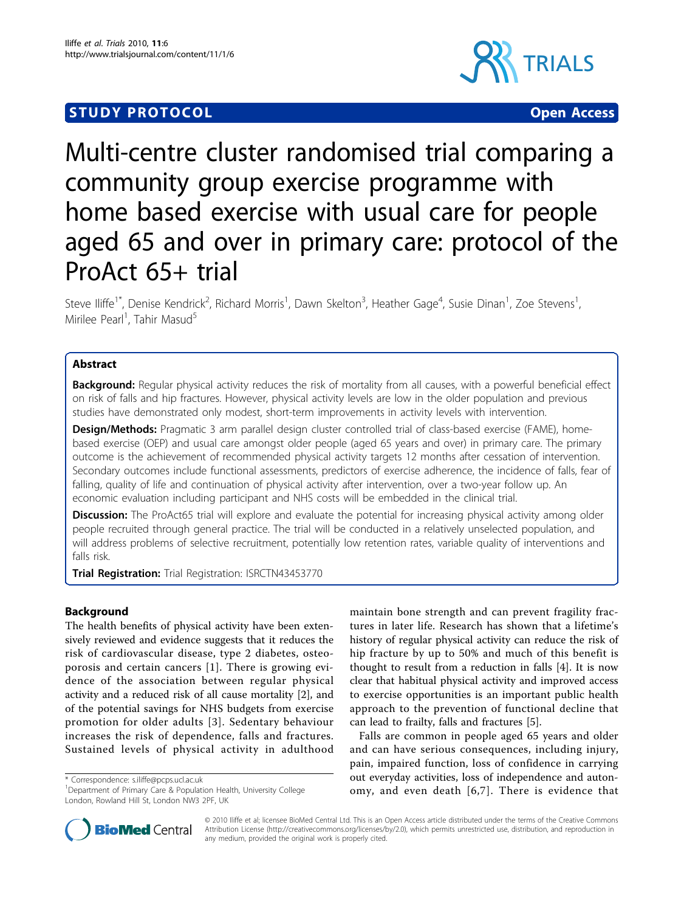# **STUDY PROTOCOL CONSUMING THE CONSUMING OPEN ACCESS**



# Multi-centre cluster randomised trial comparing a community group exercise programme with home based exercise with usual care for people aged 65 and over in primary care: protocol of the ProAct 65+ trial

Steve Iliffe<sup>1\*</sup>, Denise Kendrick<sup>2</sup>, Richard Morris<sup>1</sup>, Dawn Skelton<sup>3</sup>, Heather Gage<sup>4</sup>, Susie Dinan<sup>1</sup>, Zoe Stevens<sup>1</sup> , Mirilee Pearl<sup>1</sup>, Tahir Masud<sup>5</sup>

# Abstract

Background: Regular physical activity reduces the risk of mortality from all causes, with a powerful beneficial effect on risk of falls and hip fractures. However, physical activity levels are low in the older population and previous studies have demonstrated only modest, short-term improvements in activity levels with intervention.

Design/Methods: Pragmatic 3 arm parallel design cluster controlled trial of class-based exercise (FAME), homebased exercise (OEP) and usual care amongst older people (aged 65 years and over) in primary care. The primary outcome is the achievement of recommended physical activity targets 12 months after cessation of intervention. Secondary outcomes include functional assessments, predictors of exercise adherence, the incidence of falls, fear of falling, quality of life and continuation of physical activity after intervention, over a two-year follow up. An economic evaluation including participant and NHS costs will be embedded in the clinical trial.

**Discussion:** The ProAct65 trial will explore and evaluate the potential for increasing physical activity among older people recruited through general practice. The trial will be conducted in a relatively unselected population, and will address problems of selective recruitment, potentially low retention rates, variable quality of interventions and falls risk.

Trial Registration: Trial Registration: ISRCTN43453770

# Background

The health benefits of physical activity have been extensively reviewed and evidence suggests that it reduces the risk of cardiovascular disease, type 2 diabetes, osteoporosis and certain cancers [[1\]](#page-9-0). There is growing evidence of the association between regular physical activity and a reduced risk of all cause mortality [\[2\]](#page-9-0), and of the potential savings for NHS budgets from exercise promotion for older adults [[3\]](#page-9-0). Sedentary behaviour increases the risk of dependence, falls and fractures. Sustained levels of physical activity in adulthood

\* Correspondence: [s.iliffe@pcps.ucl.ac.uk](mailto:s.iliffe@pcps.ucl.ac.uk)

<sup>1</sup>Department of Primary Care & Population Health, University College London, Rowland Hill St, London NW3 2PF, UK

maintain bone strength and can prevent fragility fractures in later life. Research has shown that a lifetime's history of regular physical activity can reduce the risk of hip fracture by up to 50% and much of this benefit is thought to result from a reduction in falls [[4\]](#page-9-0). It is now clear that habitual physical activity and improved access to exercise opportunities is an important public health approach to the prevention of functional decline that can lead to frailty, falls and fractures [[5\]](#page-9-0).

Falls are common in people aged 65 years and older and can have serious consequences, including injury, pain, impaired function, loss of confidence in carrying out everyday activities, loss of independence and autonomy, and even death [[6,7\]](#page-9-0). There is evidence that



© 2010 Iliffe et al; licensee BioMed Central Ltd. This is an Open Access article distributed under the terms of the Creative Commons Attribution License [\(http://creativecommons.org/licenses/by/2.0](http://creativecommons.org/licenses/by/2.0)), which permits unrestricted use, distribution, and reproduction in any medium, provided the original work is properly cited.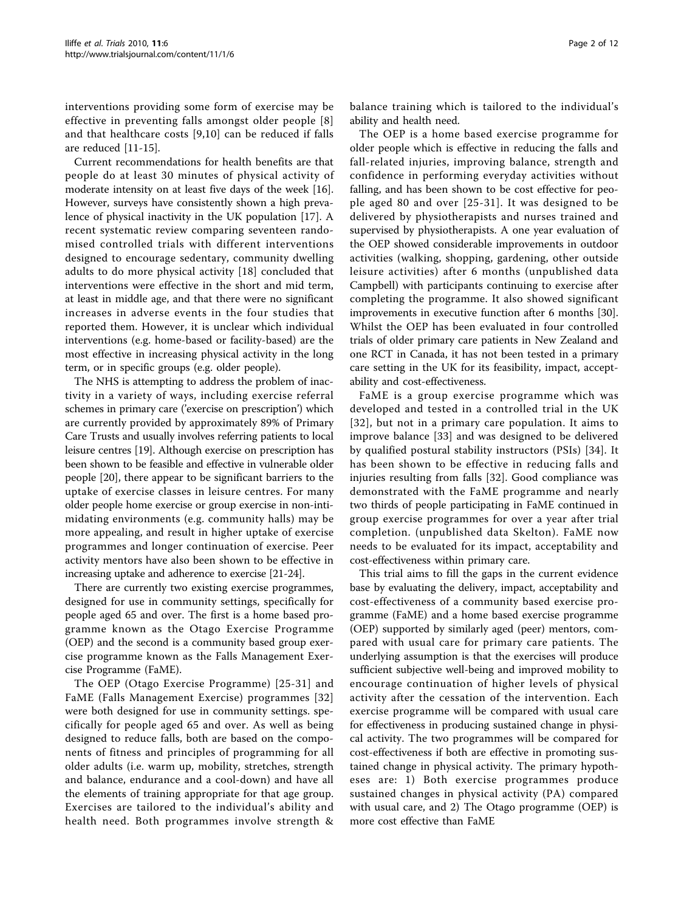interventions providing some form of exercise may be effective in preventing falls amongst older people [[8](#page-9-0)] and that healthcare costs [[9](#page-9-0),[10\]](#page-9-0) can be reduced if falls are reduced [\[11-15](#page-9-0)].

Current recommendations for health benefits are that people do at least 30 minutes of physical activity of moderate intensity on at least five days of the week [\[16](#page-9-0)]. However, surveys have consistently shown a high prevalence of physical inactivity in the UK population [\[17\]](#page-9-0). A recent systematic review comparing seventeen randomised controlled trials with different interventions designed to encourage sedentary, community dwelling adults to do more physical activity [[18\]](#page-9-0) concluded that interventions were effective in the short and mid term, at least in middle age, and that there were no significant increases in adverse events in the four studies that reported them. However, it is unclear which individual interventions (e.g. home-based or facility-based) are the most effective in increasing physical activity in the long term, or in specific groups (e.g. older people).

The NHS is attempting to address the problem of inactivity in a variety of ways, including exercise referral schemes in primary care ('exercise on prescription') which are currently provided by approximately 89% of Primary Care Trusts and usually involves referring patients to local leisure centres [\[19\]](#page-9-0). Although exercise on prescription has been shown to be feasible and effective in vulnerable older people [[20\]](#page-9-0), there appear to be significant barriers to the uptake of exercise classes in leisure centres. For many older people home exercise or group exercise in non-intimidating environments (e.g. community halls) may be more appealing, and result in higher uptake of exercise programmes and longer continuation of exercise. Peer activity mentors have also been shown to be effective in increasing uptake and adherence to exercise [[21](#page-9-0)-[24](#page-9-0)].

There are currently two existing exercise programmes, designed for use in community settings, specifically for people aged 65 and over. The first is a home based programme known as the Otago Exercise Programme (OEP) and the second is a community based group exercise programme known as the Falls Management Exercise Programme (FaME).

The OEP (Otago Exercise Programme) [[25-](#page-9-0)[31\]](#page-10-0) and FaME (Falls Management Exercise) programmes [[32](#page-10-0)] were both designed for use in community settings. specifically for people aged 65 and over. As well as being designed to reduce falls, both are based on the components of fitness and principles of programming for all older adults (i.e. warm up, mobility, stretches, strength and balance, endurance and a cool-down) and have all the elements of training appropriate for that age group. Exercises are tailored to the individual's ability and health need. Both programmes involve strength & balance training which is tailored to the individual's ability and health need.

The OEP is a home based exercise programme for older people which is effective in reducing the falls and fall-related injuries, improving balance, strength and confidence in performing everyday activities without falling, and has been shown to be cost effective for people aged 80 and over [[25-](#page-9-0)[31](#page-10-0)]. It was designed to be delivered by physiotherapists and nurses trained and supervised by physiotherapists. A one year evaluation of the OEP showed considerable improvements in outdoor activities (walking, shopping, gardening, other outside leisure activities) after 6 months (unpublished data Campbell) with participants continuing to exercise after completing the programme. It also showed significant improvements in executive function after 6 months [[30](#page-10-0)]. Whilst the OEP has been evaluated in four controlled trials of older primary care patients in New Zealand and one RCT in Canada, it has not been tested in a primary care setting in the UK for its feasibility, impact, acceptability and cost-effectiveness.

FaME is a group exercise programme which was developed and tested in a controlled trial in the UK [[32\]](#page-10-0), but not in a primary care population. It aims to improve balance [[33\]](#page-10-0) and was designed to be delivered by qualified postural stability instructors (PSIs) [[34\]](#page-10-0). It has been shown to be effective in reducing falls and injuries resulting from falls [[32\]](#page-10-0). Good compliance was demonstrated with the FaME programme and nearly two thirds of people participating in FaME continued in group exercise programmes for over a year after trial completion. (unpublished data Skelton). FaME now needs to be evaluated for its impact, acceptability and cost-effectiveness within primary care.

This trial aims to fill the gaps in the current evidence base by evaluating the delivery, impact, acceptability and cost-effectiveness of a community based exercise programme (FaME) and a home based exercise programme (OEP) supported by similarly aged (peer) mentors, compared with usual care for primary care patients. The underlying assumption is that the exercises will produce sufficient subjective well-being and improved mobility to encourage continuation of higher levels of physical activity after the cessation of the intervention. Each exercise programme will be compared with usual care for effectiveness in producing sustained change in physical activity. The two programmes will be compared for cost-effectiveness if both are effective in promoting sustained change in physical activity. The primary hypotheses are: 1) Both exercise programmes produce sustained changes in physical activity (PA) compared with usual care, and 2) The Otago programme (OEP) is more cost effective than FaME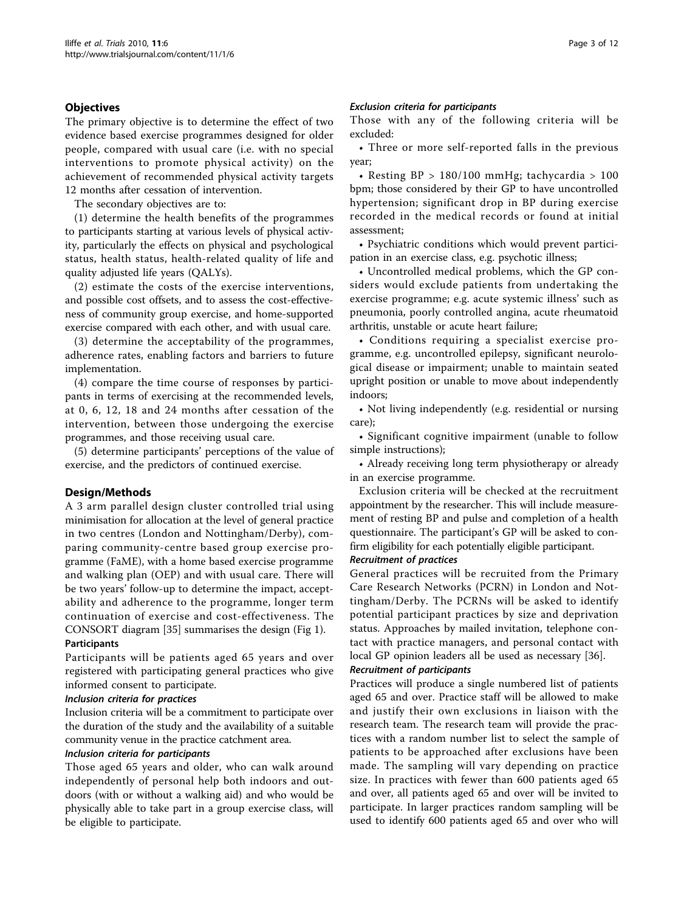## **Objectives**

The primary objective is to determine the effect of two evidence based exercise programmes designed for older people, compared with usual care (i.e. with no special interventions to promote physical activity) on the achievement of recommended physical activity targets 12 months after cessation of intervention.

The secondary objectives are to:

(1) determine the health benefits of the programmes to participants starting at various levels of physical activity, particularly the effects on physical and psychological status, health status, health-related quality of life and quality adjusted life years (QALYs).

(2) estimate the costs of the exercise interventions, and possible cost offsets, and to assess the cost-effectiveness of community group exercise, and home-supported exercise compared with each other, and with usual care.

(3) determine the acceptability of the programmes, adherence rates, enabling factors and barriers to future implementation.

(4) compare the time course of responses by participants in terms of exercising at the recommended levels, at 0, 6, 12, 18 and 24 months after cessation of the intervention, between those undergoing the exercise programmes, and those receiving usual care.

(5) determine participants' perceptions of the value of exercise, and the predictors of continued exercise.

# Design/Methods

A 3 arm parallel design cluster controlled trial using minimisation for allocation at the level of general practice in two centres (London and Nottingham/Derby), comparing community-centre based group exercise programme (FaME), with a home based exercise programme and walking plan (OEP) and with usual care. There will be two years' follow-up to determine the impact, acceptability and adherence to the programme, longer term continuation of exercise and cost-effectiveness. The CONSORT diagram [\[35\]](#page-10-0) summarises the design (Fig [1](#page-3-0)).

#### Participants

Participants will be patients aged 65 years and over registered with participating general practices who give informed consent to participate.

#### Inclusion criteria for practices

Inclusion criteria will be a commitment to participate over the duration of the study and the availability of a suitable community venue in the practice catchment area.

#### Inclusion criteria for participants

Those aged 65 years and older, who can walk around independently of personal help both indoors and outdoors (with or without a walking aid) and who would be physically able to take part in a group exercise class, will be eligible to participate.

#### Exclusion criteria for participants

Those with any of the following criteria will be excluded:

• Three or more self-reported falls in the previous year;

• Resting BP > 180/100 mmHg; tachycardia > 100 bpm; those considered by their GP to have uncontrolled hypertension; significant drop in BP during exercise recorded in the medical records or found at initial assessment;

• Psychiatric conditions which would prevent participation in an exercise class, e.g. psychotic illness;

• Uncontrolled medical problems, which the GP considers would exclude patients from undertaking the exercise programme; e.g. acute systemic illness' such as pneumonia, poorly controlled angina, acute rheumatoid arthritis, unstable or acute heart failure;

• Conditions requiring a specialist exercise programme, e.g. uncontrolled epilepsy, significant neurological disease or impairment; unable to maintain seated upright position or unable to move about independently indoors;

• Not living independently (e.g. residential or nursing care);

• Significant cognitive impairment (unable to follow simple instructions);

• Already receiving long term physiotherapy or already in an exercise programme.

Exclusion criteria will be checked at the recruitment appointment by the researcher. This will include measurement of resting BP and pulse and completion of a health questionnaire. The participant's GP will be asked to confirm eligibility for each potentially eligible participant.

#### Recruitment of practices

General practices will be recruited from the Primary Care Research Networks (PCRN) in London and Nottingham/Derby. The PCRNs will be asked to identify potential participant practices by size and deprivation status. Approaches by mailed invitation, telephone contact with practice managers, and personal contact with local GP opinion leaders all be used as necessary [\[36](#page-10-0)].

#### Recruitment of participants

Practices will produce a single numbered list of patients aged 65 and over. Practice staff will be allowed to make and justify their own exclusions in liaison with the research team. The research team will provide the practices with a random number list to select the sample of patients to be approached after exclusions have been made. The sampling will vary depending on practice size. In practices with fewer than 600 patients aged 65 and over, all patients aged 65 and over will be invited to participate. In larger practices random sampling will be used to identify 600 patients aged 65 and over who will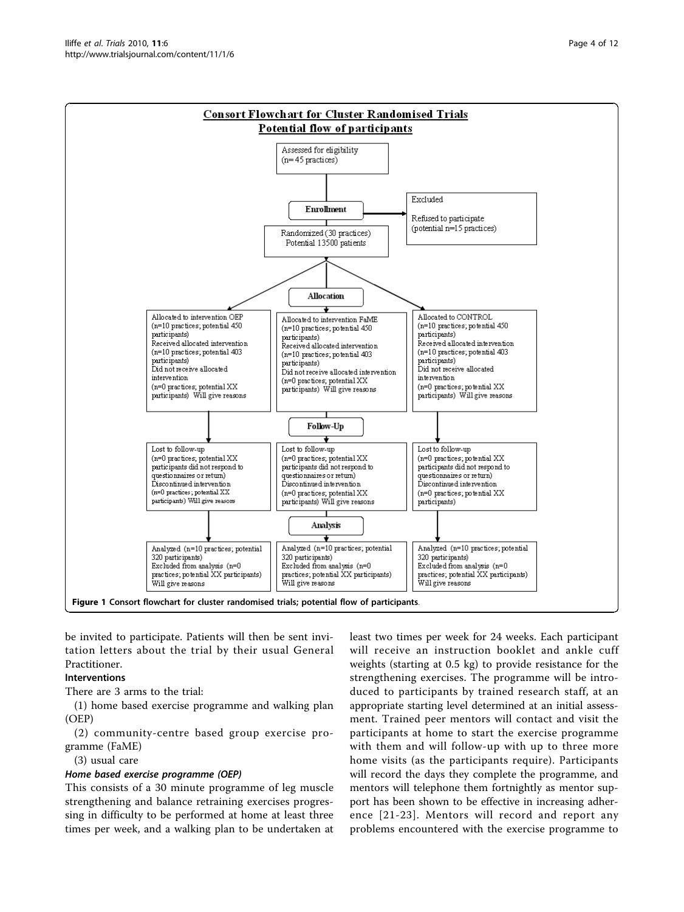<span id="page-3-0"></span>

be invited to participate. Patients will then be sent invitation letters about the trial by their usual General Practitioner.

#### Interventions

There are 3 arms to the trial:

(1) home based exercise programme and walking plan (OEP)

(2) community-centre based group exercise programme (FaME)

#### (3) usual care

## Home based exercise programme (OEP)

This consists of a 30 minute programme of leg muscle strengthening and balance retraining exercises progressing in difficulty to be performed at home at least three times per week, and a walking plan to be undertaken at least two times per week for 24 weeks. Each participant will receive an instruction booklet and ankle cuff weights (starting at 0.5 kg) to provide resistance for the strengthening exercises. The programme will be introduced to participants by trained research staff, at an appropriate starting level determined at an initial assessment. Trained peer mentors will contact and visit the participants at home to start the exercise programme with them and will follow-up with up to three more home visits (as the participants require). Participants will record the days they complete the programme, and mentors will telephone them fortnightly as mentor support has been shown to be effective in increasing adherence [[21-23](#page-9-0)]. Mentors will record and report any problems encountered with the exercise programme to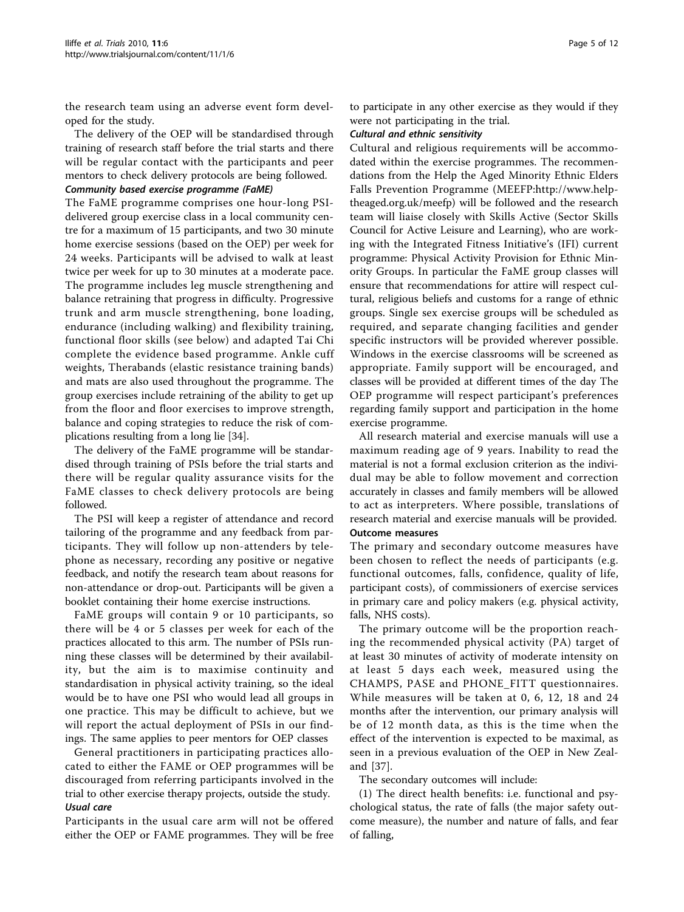the research team using an adverse event form developed for the study.

The delivery of the OEP will be standardised through training of research staff before the trial starts and there will be regular contact with the participants and peer mentors to check delivery protocols are being followed. Community based exercise programme (FaME)

The FaME programme comprises one hour-long PSIdelivered group exercise class in a local community centre for a maximum of 15 participants, and two 30 minute home exercise sessions (based on the OEP) per week for 24 weeks. Participants will be advised to walk at least twice per week for up to 30 minutes at a moderate pace. The programme includes leg muscle strengthening and balance retraining that progress in difficulty. Progressive trunk and arm muscle strengthening, bone loading, endurance (including walking) and flexibility training, functional floor skills (see below) and adapted Tai Chi complete the evidence based programme. Ankle cuff weights, Therabands (elastic resistance training bands) and mats are also used throughout the programme. The group exercises include retraining of the ability to get up from the floor and floor exercises to improve strength, balance and coping strategies to reduce the risk of complications resulting from a long lie [[34\]](#page-10-0).

The delivery of the FaME programme will be standardised through training of PSIs before the trial starts and there will be regular quality assurance visits for the FaME classes to check delivery protocols are being followed.

The PSI will keep a register of attendance and record tailoring of the programme and any feedback from participants. They will follow up non-attenders by telephone as necessary, recording any positive or negative feedback, and notify the research team about reasons for non-attendance or drop-out. Participants will be given a booklet containing their home exercise instructions.

FaME groups will contain 9 or 10 participants, so there will be 4 or 5 classes per week for each of the practices allocated to this arm. The number of PSIs running these classes will be determined by their availability, but the aim is to maximise continuity and standardisation in physical activity training, so the ideal would be to have one PSI who would lead all groups in one practice. This may be difficult to achieve, but we will report the actual deployment of PSIs in our findings. The same applies to peer mentors for OEP classes

General practitioners in participating practices allocated to either the FAME or OEP programmes will be discouraged from referring participants involved in the trial to other exercise therapy projects, outside the study. Usual care

Participants in the usual care arm will not be offered either the OEP or FAME programmes. They will be free

to participate in any other exercise as they would if they were not participating in the trial.

#### Cultural and ethnic sensitivity

Cultural and religious requirements will be accommodated within the exercise programmes. The recommendations from the Help the Aged Minority Ethnic Elders Falls Prevention Programme (MEEFP[:http://www.help](http://www.helptheaged.org.uk/meefp)[theaged.org.uk/meefp\)](http://www.helptheaged.org.uk/meefp) will be followed and the research team will liaise closely with Skills Active (Sector Skills Council for Active Leisure and Learning), who are working with the Integrated Fitness Initiative's (IFI) current programme: Physical Activity Provision for Ethnic Minority Groups. In particular the FaME group classes will ensure that recommendations for attire will respect cultural, religious beliefs and customs for a range of ethnic groups. Single sex exercise groups will be scheduled as required, and separate changing facilities and gender specific instructors will be provided wherever possible. Windows in the exercise classrooms will be screened as appropriate. Family support will be encouraged, and classes will be provided at different times of the day The OEP programme will respect participant's preferences regarding family support and participation in the home exercise programme.

All research material and exercise manuals will use a maximum reading age of 9 years. Inability to read the material is not a formal exclusion criterion as the individual may be able to follow movement and correction accurately in classes and family members will be allowed to act as interpreters. Where possible, translations of research material and exercise manuals will be provided. Outcome measures

The primary and secondary outcome measures have been chosen to reflect the needs of participants (e.g. functional outcomes, falls, confidence, quality of life, participant costs), of commissioners of exercise services in primary care and policy makers (e.g. physical activity, falls, NHS costs).

The primary outcome will be the proportion reaching the recommended physical activity (PA) target of at least 30 minutes of activity of moderate intensity on at least 5 days each week, measured using the CHAMPS, PASE and PHONE\_FITT questionnaires. While measures will be taken at 0, 6, 12, 18 and 24 months after the intervention, our primary analysis will be of 12 month data, as this is the time when the effect of the intervention is expected to be maximal, as seen in a previous evaluation of the OEP in New Zealand [[37\]](#page-10-0).

The secondary outcomes will include:

(1) The direct health benefits: i.e. functional and psychological status, the rate of falls (the major safety outcome measure), the number and nature of falls, and fear of falling,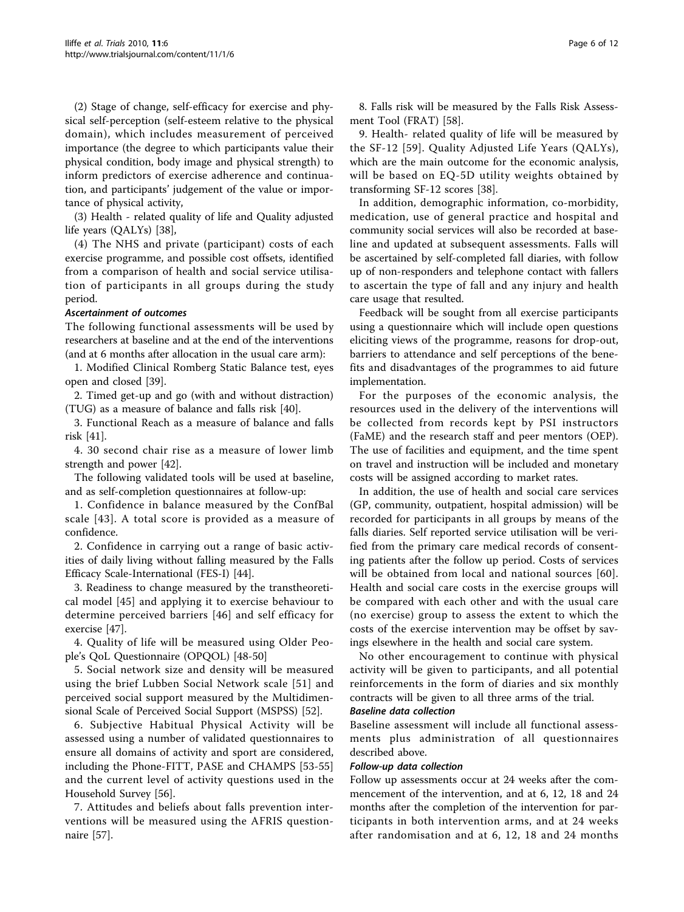(2) Stage of change, self-efficacy for exercise and physical self-perception (self-esteem relative to the physical domain), which includes measurement of perceived importance (the degree to which participants value their physical condition, body image and physical strength) to inform predictors of exercise adherence and continuation, and participants' judgement of the value or importance of physical activity,

(3) Health - related quality of life and Quality adjusted life years (QALYs) [[38](#page-10-0)],

(4) The NHS and private (participant) costs of each exercise programme, and possible cost offsets, identified from a comparison of health and social service utilisation of participants in all groups during the study period.

#### Ascertainment of outcomes

The following functional assessments will be used by researchers at baseline and at the end of the interventions (and at 6 months after allocation in the usual care arm):

1. Modified Clinical Romberg Static Balance test, eyes open and closed [[39\]](#page-10-0).

2. Timed get-up and go (with and without distraction) (TUG) as a measure of balance and falls risk [\[40\]](#page-10-0).

3. Functional Reach as a measure of balance and falls risk [[41\]](#page-10-0).

4. 30 second chair rise as a measure of lower limb strength and power [\[42\]](#page-10-0).

The following validated tools will be used at baseline, and as self-completion questionnaires at follow-up:

1. Confidence in balance measured by the ConfBal scale [[43\]](#page-10-0). A total score is provided as a measure of confidence.

2. Confidence in carrying out a range of basic activities of daily living without falling measured by the Falls Efficacy Scale-International (FES-I) [\[44](#page-10-0)].

3. Readiness to change measured by the transtheoretical model [[45\]](#page-10-0) and applying it to exercise behaviour to determine perceived barriers [[46](#page-10-0)] and self efficacy for exercise [\[47](#page-10-0)].

4. Quality of life will be measured using Older People's QoL Questionnaire (OPQOL) [[48](#page-10-0)-[50\]](#page-10-0)

5. Social network size and density will be measured using the brief Lubben Social Network scale [[51](#page-10-0)] and perceived social support measured by the Multidimensional Scale of Perceived Social Support (MSPSS) [[52\]](#page-10-0).

6. Subjective Habitual Physical Activity will be assessed using a number of validated questionnaires to ensure all domains of activity and sport are considered, including the Phone-FITT, PASE and CHAMPS [[53-55](#page-10-0)] and the current level of activity questions used in the Household Survey [[56](#page-10-0)].

7. Attitudes and beliefs about falls prevention interventions will be measured using the AFRIS questionnaire [\[57](#page-10-0)].

8. Falls risk will be measured by the Falls Risk Assessment Tool (FRAT) [[58](#page-10-0)].

9. Health- related quality of life will be measured by the SF-12 [[59](#page-10-0)]. Quality Adjusted Life Years (QALYs), which are the main outcome for the economic analysis, will be based on EQ-5D utility weights obtained by transforming SF-12 scores [[38](#page-10-0)].

In addition, demographic information, co-morbidity, medication, use of general practice and hospital and community social services will also be recorded at baseline and updated at subsequent assessments. Falls will be ascertained by self-completed fall diaries, with follow up of non-responders and telephone contact with fallers to ascertain the type of fall and any injury and health care usage that resulted.

Feedback will be sought from all exercise participants using a questionnaire which will include open questions eliciting views of the programme, reasons for drop-out, barriers to attendance and self perceptions of the benefits and disadvantages of the programmes to aid future implementation.

For the purposes of the economic analysis, the resources used in the delivery of the interventions will be collected from records kept by PSI instructors (FaME) and the research staff and peer mentors (OEP). The use of facilities and equipment, and the time spent on travel and instruction will be included and monetary costs will be assigned according to market rates.

In addition, the use of health and social care services (GP, community, outpatient, hospital admission) will be recorded for participants in all groups by means of the falls diaries. Self reported service utilisation will be verified from the primary care medical records of consenting patients after the follow up period. Costs of services will be obtained from local and national sources [[60\]](#page-10-0). Health and social care costs in the exercise groups will be compared with each other and with the usual care (no exercise) group to assess the extent to which the costs of the exercise intervention may be offset by savings elsewhere in the health and social care system.

No other encouragement to continue with physical activity will be given to participants, and all potential reinforcements in the form of diaries and six monthly contracts will be given to all three arms of the trial.

#### Baseline data collection

Baseline assessment will include all functional assessments plus administration of all questionnaires described above.

#### Follow-up data collection

Follow up assessments occur at 24 weeks after the commencement of the intervention, and at 6, 12, 18 and 24 months after the completion of the intervention for participants in both intervention arms, and at 24 weeks after randomisation and at 6, 12, 18 and 24 months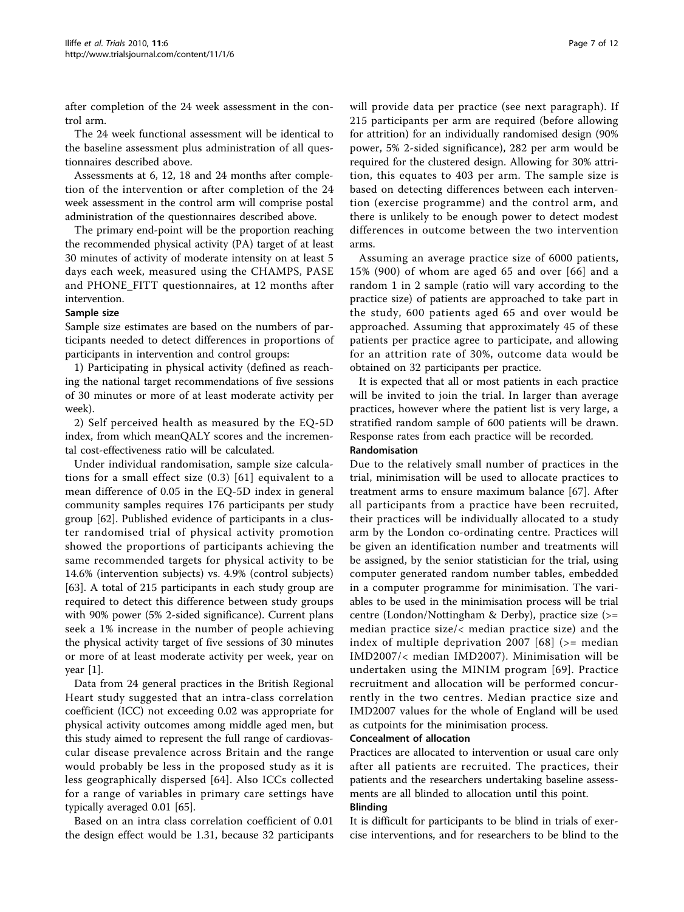after completion of the 24 week assessment in the control arm.

The 24 week functional assessment will be identical to the baseline assessment plus administration of all questionnaires described above.

Assessments at 6, 12, 18 and 24 months after completion of the intervention or after completion of the 24 week assessment in the control arm will comprise postal administration of the questionnaires described above.

The primary end-point will be the proportion reaching the recommended physical activity (PA) target of at least 30 minutes of activity of moderate intensity on at least 5 days each week, measured using the CHAMPS, PASE and PHONE\_FITT questionnaires, at 12 months after intervention.

#### Sample size

Sample size estimates are based on the numbers of participants needed to detect differences in proportions of participants in intervention and control groups:

1) Participating in physical activity (defined as reaching the national target recommendations of five sessions of 30 minutes or more of at least moderate activity per week).

2) Self perceived health as measured by the EQ-5D index, from which meanQALY scores and the incremental cost-effectiveness ratio will be calculated.

Under individual randomisation, sample size calculations for a small effect size (0.3) [\[61\]](#page-10-0) equivalent to a mean difference of 0.05 in the EQ-5D index in general community samples requires 176 participants per study group [\[62](#page-10-0)]. Published evidence of participants in a cluster randomised trial of physical activity promotion showed the proportions of participants achieving the same recommended targets for physical activity to be 14.6% (intervention subjects) vs. 4.9% (control subjects) [[63\]](#page-10-0). A total of 215 participants in each study group are required to detect this difference between study groups with 90% power (5% 2-sided significance). Current plans seek a 1% increase in the number of people achieving the physical activity target of five sessions of 30 minutes or more of at least moderate activity per week, year on year [[1\]](#page-9-0).

Data from 24 general practices in the British Regional Heart study suggested that an intra-class correlation coefficient (ICC) not exceeding 0.02 was appropriate for physical activity outcomes among middle aged men, but this study aimed to represent the full range of cardiovascular disease prevalence across Britain and the range would probably be less in the proposed study as it is less geographically dispersed [\[64\]](#page-10-0). Also ICCs collected for a range of variables in primary care settings have typically averaged 0.01 [\[65](#page-10-0)].

Based on an intra class correlation coefficient of 0.01 the design effect would be 1.31, because 32 participants will provide data per practice (see next paragraph). If 215 participants per arm are required (before allowing for attrition) for an individually randomised design (90% power, 5% 2-sided significance), 282 per arm would be required for the clustered design. Allowing for 30% attrition, this equates to 403 per arm. The sample size is based on detecting differences between each intervention (exercise programme) and the control arm, and there is unlikely to be enough power to detect modest differences in outcome between the two intervention arms.

Assuming an average practice size of 6000 patients, 15% (900) of whom are aged 65 and over [[66](#page-10-0)] and a random 1 in 2 sample (ratio will vary according to the practice size) of patients are approached to take part in the study, 600 patients aged 65 and over would be approached. Assuming that approximately 45 of these patients per practice agree to participate, and allowing for an attrition rate of 30%, outcome data would be obtained on 32 participants per practice.

It is expected that all or most patients in each practice will be invited to join the trial. In larger than average practices, however where the patient list is very large, a stratified random sample of 600 patients will be drawn. Response rates from each practice will be recorded.

#### Randomisation

Due to the relatively small number of practices in the trial, minimisation will be used to allocate practices to treatment arms to ensure maximum balance [\[67](#page-10-0)]. After all participants from a practice have been recruited, their practices will be individually allocated to a study arm by the London co-ordinating centre. Practices will be given an identification number and treatments will be assigned, by the senior statistician for the trial, using computer generated random number tables, embedded in a computer programme for minimisation. The variables to be used in the minimisation process will be trial centre (London/Nottingham & Derby), practice size (>= median practice size/< median practice size) and the index of multiple deprivation 2007 [[68\]](#page-10-0) (>= median IMD2007/< median IMD2007). Minimisation will be undertaken using the MINIM program [[69](#page-10-0)]. Practice recruitment and allocation will be performed concurrently in the two centres. Median practice size and IMD2007 values for the whole of England will be used as cutpoints for the minimisation process.

#### Concealment of allocation

Practices are allocated to intervention or usual care only after all patients are recruited. The practices, their patients and the researchers undertaking baseline assessments are all blinded to allocation until this point.

#### Blinding

It is difficult for participants to be blind in trials of exercise interventions, and for researchers to be blind to the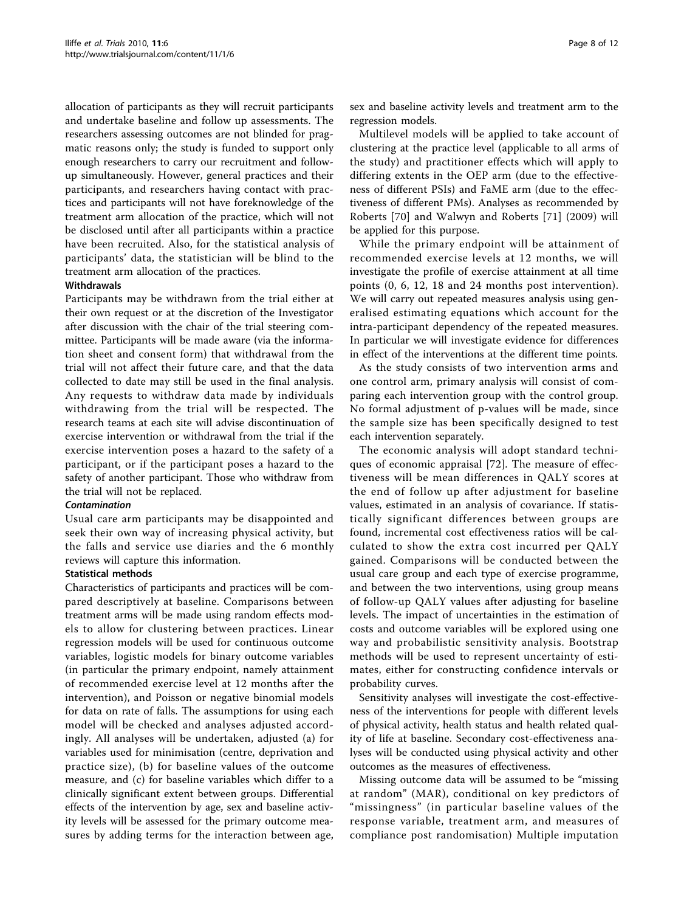allocation of participants as they will recruit participants and undertake baseline and follow up assessments. The researchers assessing outcomes are not blinded for pragmatic reasons only; the study is funded to support only enough researchers to carry our recruitment and followup simultaneously. However, general practices and their participants, and researchers having contact with practices and participants will not have foreknowledge of the treatment arm allocation of the practice, which will not be disclosed until after all participants within a practice have been recruited. Also, for the statistical analysis of participants' data, the statistician will be blind to the treatment arm allocation of the practices.

#### **Withdrawals**

Participants may be withdrawn from the trial either at their own request or at the discretion of the Investigator after discussion with the chair of the trial steering committee. Participants will be made aware (via the information sheet and consent form) that withdrawal from the trial will not affect their future care, and that the data collected to date may still be used in the final analysis. Any requests to withdraw data made by individuals withdrawing from the trial will be respected. The research teams at each site will advise discontinuation of exercise intervention or withdrawal from the trial if the exercise intervention poses a hazard to the safety of a participant, or if the participant poses a hazard to the safety of another participant. Those who withdraw from the trial will not be replaced.

#### Contamination

Usual care arm participants may be disappointed and seek their own way of increasing physical activity, but the falls and service use diaries and the 6 monthly reviews will capture this information.

#### Statistical methods

Characteristics of participants and practices will be compared descriptively at baseline. Comparisons between treatment arms will be made using random effects models to allow for clustering between practices. Linear regression models will be used for continuous outcome variables, logistic models for binary outcome variables (in particular the primary endpoint, namely attainment of recommended exercise level at 12 months after the intervention), and Poisson or negative binomial models for data on rate of falls. The assumptions for using each model will be checked and analyses adjusted accordingly. All analyses will be undertaken, adjusted (a) for variables used for minimisation (centre, deprivation and practice size), (b) for baseline values of the outcome measure, and (c) for baseline variables which differ to a clinically significant extent between groups. Differential effects of the intervention by age, sex and baseline activity levels will be assessed for the primary outcome measures by adding terms for the interaction between age, sex and baseline activity levels and treatment arm to the regression models.

Multilevel models will be applied to take account of clustering at the practice level (applicable to all arms of the study) and practitioner effects which will apply to differing extents in the OEP arm (due to the effectiveness of different PSIs) and FaME arm (due to the effectiveness of different PMs). Analyses as recommended by Roberts [[70](#page-10-0)] and Walwyn and Roberts [[71](#page-10-0)] (2009) will be applied for this purpose.

While the primary endpoint will be attainment of recommended exercise levels at 12 months, we will investigate the profile of exercise attainment at all time points (0, 6, 12, 18 and 24 months post intervention). We will carry out repeated measures analysis using generalised estimating equations which account for the intra-participant dependency of the repeated measures. In particular we will investigate evidence for differences in effect of the interventions at the different time points.

As the study consists of two intervention arms and one control arm, primary analysis will consist of comparing each intervention group with the control group. No formal adjustment of p-values will be made, since the sample size has been specifically designed to test each intervention separately.

The economic analysis will adopt standard techniques of economic appraisal [[72\]](#page-10-0). The measure of effectiveness will be mean differences in QALY scores at the end of follow up after adjustment for baseline values, estimated in an analysis of covariance. If statistically significant differences between groups are found, incremental cost effectiveness ratios will be calculated to show the extra cost incurred per QALY gained. Comparisons will be conducted between the usual care group and each type of exercise programme, and between the two interventions, using group means of follow-up QALY values after adjusting for baseline levels. The impact of uncertainties in the estimation of costs and outcome variables will be explored using one way and probabilistic sensitivity analysis. Bootstrap methods will be used to represent uncertainty of estimates, either for constructing confidence intervals or probability curves.

Sensitivity analyses will investigate the cost-effectiveness of the interventions for people with different levels of physical activity, health status and health related quality of life at baseline. Secondary cost-effectiveness analyses will be conducted using physical activity and other outcomes as the measures of effectiveness.

Missing outcome data will be assumed to be "missing at random" (MAR), conditional on key predictors of "missingness" (in particular baseline values of the response variable, treatment arm, and measures of compliance post randomisation) Multiple imputation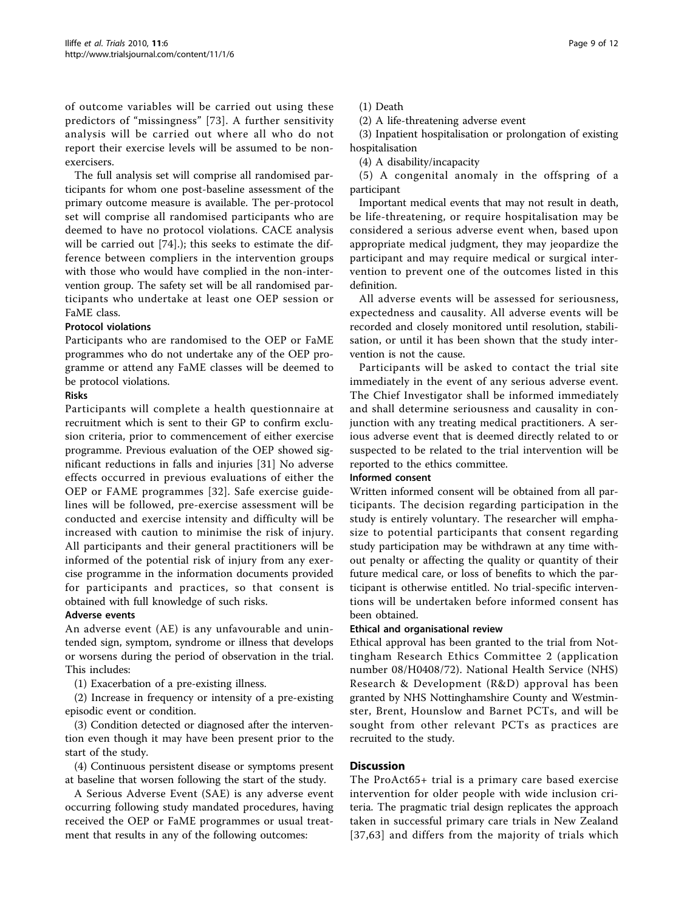of outcome variables will be carried out using these predictors of "missingness" [[73](#page-11-0)]. A further sensitivity analysis will be carried out where all who do not report their exercise levels will be assumed to be nonexercisers.

The full analysis set will comprise all randomised participants for whom one post-baseline assessment of the primary outcome measure is available. The per-protocol set will comprise all randomised participants who are deemed to have no protocol violations. CACE analysis will be carried out [[74](#page-11-0)].); this seeks to estimate the difference between compliers in the intervention groups with those who would have complied in the non-intervention group. The safety set will be all randomised participants who undertake at least one OEP session or FaME class.

#### Protocol violations

Participants who are randomised to the OEP or FaME programmes who do not undertake any of the OEP programme or attend any FaME classes will be deemed to be protocol violations.

#### Risks

Participants will complete a health questionnaire at recruitment which is sent to their GP to confirm exclusion criteria, prior to commencement of either exercise programme. Previous evaluation of the OEP showed significant reductions in falls and injuries [[31\]](#page-10-0) No adverse effects occurred in previous evaluations of either the OEP or FAME programmes [[32\]](#page-10-0). Safe exercise guidelines will be followed, pre-exercise assessment will be conducted and exercise intensity and difficulty will be increased with caution to minimise the risk of injury. All participants and their general practitioners will be informed of the potential risk of injury from any exercise programme in the information documents provided for participants and practices, so that consent is obtained with full knowledge of such risks.

# Adverse events

An adverse event (AE) is any unfavourable and unintended sign, symptom, syndrome or illness that develops or worsens during the period of observation in the trial. This includes:

(1) Exacerbation of a pre-existing illness.

(2) Increase in frequency or intensity of a pre-existing episodic event or condition.

(3) Condition detected or diagnosed after the intervention even though it may have been present prior to the start of the study.

(4) Continuous persistent disease or symptoms present at baseline that worsen following the start of the study.

A Serious Adverse Event (SAE) is any adverse event occurring following study mandated procedures, having received the OEP or FaME programmes or usual treatment that results in any of the following outcomes:

(1) Death

(2) A life-threatening adverse event

(3) Inpatient hospitalisation or prolongation of existing hospitalisation

(4) A disability/incapacity

(5) A congenital anomaly in the offspring of a participant

Important medical events that may not result in death, be life-threatening, or require hospitalisation may be considered a serious adverse event when, based upon appropriate medical judgment, they may jeopardize the participant and may require medical or surgical intervention to prevent one of the outcomes listed in this definition.

All adverse events will be assessed for seriousness, expectedness and causality. All adverse events will be recorded and closely monitored until resolution, stabilisation, or until it has been shown that the study intervention is not the cause.

Participants will be asked to contact the trial site immediately in the event of any serious adverse event. The Chief Investigator shall be informed immediately and shall determine seriousness and causality in conjunction with any treating medical practitioners. A serious adverse event that is deemed directly related to or suspected to be related to the trial intervention will be reported to the ethics committee.

#### Informed consent

Written informed consent will be obtained from all participants. The decision regarding participation in the study is entirely voluntary. The researcher will emphasize to potential participants that consent regarding study participation may be withdrawn at any time without penalty or affecting the quality or quantity of their future medical care, or loss of benefits to which the participant is otherwise entitled. No trial-specific interventions will be undertaken before informed consent has been obtained.

#### Ethical and organisational review

Ethical approval has been granted to the trial from Nottingham Research Ethics Committee 2 (application number 08/H0408/72). National Health Service (NHS) Research & Development (R&D) approval has been granted by NHS Nottinghamshire County and Westminster, Brent, Hounslow and Barnet PCTs, and will be sought from other relevant PCTs as practices are recruited to the study.

#### **Discussion**

The ProAct65+ trial is a primary care based exercise intervention for older people with wide inclusion criteria. The pragmatic trial design replicates the approach taken in successful primary care trials in New Zealand [[37,63\]](#page-10-0) and differs from the majority of trials which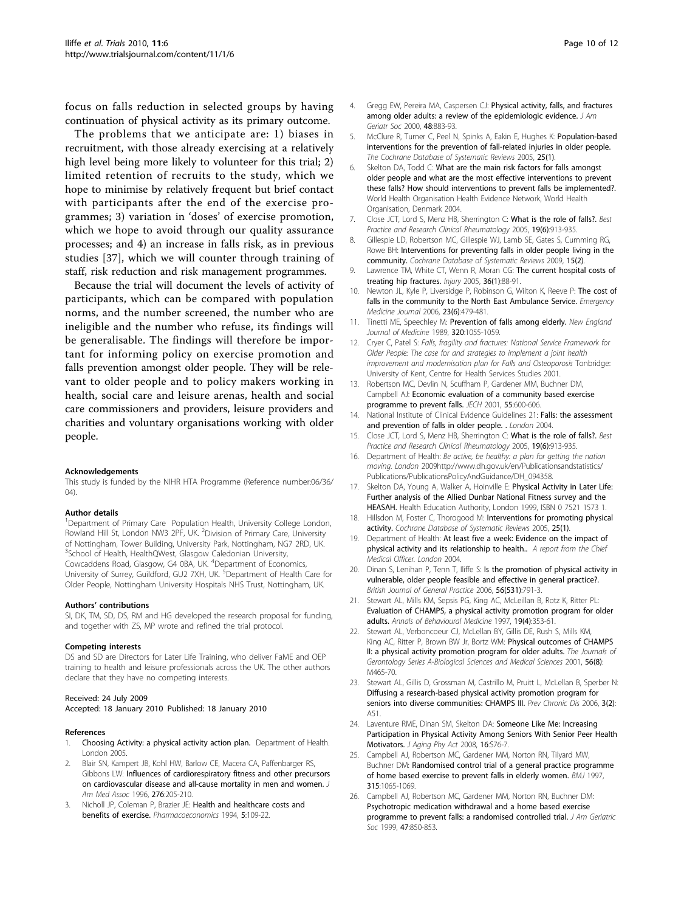<span id="page-9-0"></span>focus on falls reduction in selected groups by having continuation of physical activity as its primary outcome.

The problems that we anticipate are: 1) biases in recruitment, with those already exercising at a relatively high level being more likely to volunteer for this trial; 2) limited retention of recruits to the study, which we hope to minimise by relatively frequent but brief contact with participants after the end of the exercise programmes; 3) variation in 'doses' of exercise promotion, which we hope to avoid through our quality assurance processes; and 4) an increase in falls risk, as in previous studies [[37\]](#page-10-0), which we will counter through training of staff, risk reduction and risk management programmes.

Because the trial will document the levels of activity of participants, which can be compared with population norms, and the number screened, the number who are ineligible and the number who refuse, its findings will be generalisable. The findings will therefore be important for informing policy on exercise promotion and falls prevention amongst older people. They will be relevant to older people and to policy makers working in health, social care and leisure arenas, health and social care commissioners and providers, leisure providers and charities and voluntary organisations working with older people.

#### Acknowledgements

This study is funded by the NIHR HTA Programme (Reference number:06/36/ 04).

#### Author details

<sup>1</sup>Department of Primary Care Population Health, University College London, Rowland Hill St, London NW3 2PF, UK. <sup>2</sup>Division of Primary Care, University of Nottingham, Tower Building, University Park, Nottingham, NG7 2RD, UK. <sup>3</sup>School of Health, HealthQWest, Glasgow Caledonian University, Cowcaddens Road, Glasgow, G4 0BA, UK. <sup>4</sup>Department of Economics, University of Surrey, Guildford, GU2 7XH, UK. <sup>5</sup>Department of Health Care for Older People, Nottingham University Hospitals NHS Trust, Nottingham, UK.

#### Authors' contributions

SI, DK, TM, SD, DS, RM and HG developed the research proposal for funding, and together with ZS, MP wrote and refined the trial protocol.

#### Competing interests

DS and SD are Directors for Later Life Training, who deliver FaME and OEP training to health and leisure professionals across the UK. The other authors declare that they have no competing interests.

#### Received: 24 July 2009 Accepted: 18 January 2010 Published: 18 January 2010

#### References

- 1. Choosing Activity: a physical activity action plan. Department of Health. London 2005.
- 2. Blair SN, Kampert JB, Kohl HW, Barlow CE, Macera CA, Paffenbarger RS, Gibbons LW: Influences of cardiorespiratory fitness and other precursors on cardiovascular disease and all-cause mortality in men and women. J Am Med Assoc 1996, 276:205-210.
- 3. Nicholl JP, Coleman P, Brazier JE: [Health and healthcare costs and](http://www.ncbi.nlm.nih.gov/pubmed/10146904?dopt=Abstract) [benefits of exercise.](http://www.ncbi.nlm.nih.gov/pubmed/10146904?dopt=Abstract) Pharmacoeconomics 1994, 5:109-22.
- [among older adults: a review of the epidemiologic evidence.](http://www.ncbi.nlm.nih.gov/pubmed/10968291?dopt=Abstract) J Am Geriatr Soc 2000, 48:883-93.
- 5. McClure R, Turner C, Peel N, Spinks A, Eakin E, Hughes K: Population-based interventions for the prevention of fall-related injuries in older people. The Cochrane Database of Systematic Reviews 2005, 25(1).
- 6. Skelton DA, Todd C: What are the main risk factors for falls amongst older people and what are the most effective interventions to prevent these falls? How should interventions to prevent falls be implemented?. World Health Organisation Health Evidence Network, World Health Organisation, Denmark 2004.
- 7. Close JCT, Lord S, Menz HB, Sherrington C: [What is the role of falls?.](http://www.ncbi.nlm.nih.gov/pubmed/16301187?dopt=Abstract) Best Practice and Research Clinical Rheumatology 2005, 19(6):913-935.
- 8. Gillespie LD, Robertson MC, Gillespie WJ, Lamb SE, Gates S, Cumming RG, Rowe BH: Interventions for preventing falls in older people living in the community. Cochrane Database of Systematic Reviews 2009, 15(2).
- 9. Lawrence TM, White CT, Wenn R, Moran CG: [The current hospital costs of](http://www.ncbi.nlm.nih.gov/pubmed/15589923?dopt=Abstract) [treating hip fractures.](http://www.ncbi.nlm.nih.gov/pubmed/15589923?dopt=Abstract) Injury 2005, 36(1):88-91.
- 10. Newton JL, Kyle P, Liversidge P, Robinson G, Wilton K, Reeve P: [The cost of](http://www.ncbi.nlm.nih.gov/pubmed/16714519?dopt=Abstract) [falls in the community to the North East Ambulance Service.](http://www.ncbi.nlm.nih.gov/pubmed/16714519?dopt=Abstract) Emergency Medicine Journal 2006, 23(6):479-481.
- 11. Tinetti ME, Speechley M: [Prevention of falls among elderly.](http://www.ncbi.nlm.nih.gov/pubmed/2648154?dopt=Abstract) New England Journal of Medicine 1989, 320:1055-1059.
- 12. Cryer C, Patel S: Falls, fragility and fractures: National Service Framework for Older People: The case for and strategies to implement a joint health improvement and modernisation plan for Falls and Osteoporosis Tonbridge: University of Kent, Centre for Health Services Studies 2001.
- 13. Robertson MC, Devlin N, Scuffham P, Gardener MM, Buchner DM, Campbell AJ: Economic evaluation of a community based exercise programme to prevent falls. JECH 2001, 55:600-606.
- 14. National Institute of Clinical Evidence Guidelines 21: Falls: the assessment and prevention of falls in older people. . London 2004.
- 15. Close JCT, Lord S, Menz HB, Sherrington C: [What is the role of falls?.](http://www.ncbi.nlm.nih.gov/pubmed/16301187?dopt=Abstract) Best Practice and Research Clinical Rheumatology 2005, 19(6):913-935.
- 16. Department of Health: Be active, be healthy: a plan for getting the nation moving. London 2009[http://www.dh.gov.uk/en/Publicationsandstatistics/](http://www.dh.gov.uk/en/Publicationsandstatistics/Publications/PublicationsPolicyAndGuidance/DH_094358) [Publications/PublicationsPolicyAndGuidance/DH\\_094358.](http://www.dh.gov.uk/en/Publicationsandstatistics/Publications/PublicationsPolicyAndGuidance/DH_094358)
- 17. Skelton DA, Young A, Walker A, Hoinville E: Physical Activity in Later Life: Further analysis of the Allied Dunbar National Fitness survey and the HEASAH. Health Education Authority, London 1999, ISBN 0 7521 1573 1.
- 18. Hillsdon M, Foster C, Thorogood M: Interventions for promoting physical activity. Cochrane Database of Systematic Reviews 2005, 25(1).
- 19. Department of Health: At least five a week: Evidence on the impact of physical activity and its relationship to health.. A report from the Chief Medical Officer. London 2004.
- 20. Dinan S, Lenihan P, Tenn T, Iliffe S: [Is the promotion of physical activity in](http://www.ncbi.nlm.nih.gov/pubmed/17007711?dopt=Abstract) [vulnerable, older people feasible and effective in general practice?.](http://www.ncbi.nlm.nih.gov/pubmed/17007711?dopt=Abstract) British Journal of General Practice 2006, 56(531):791-3.
- 21. Stewart AL, Mills KM, Sepsis PG, King AC, McLeillan B, Rotz K, Ritter PL: Evaluation of CHAMPS, a physical activity promotion program for older adults. Annals of Behavioural Medicine 1997, 19(4):353-61.
- 22. Stewart AL, Verboncoeur CJ, McLellan BY, Gillis DE, Rush S, Mills KM, King AC, Ritter P, Brown BW Jr, Bortz WM: Physical outcomes of CHAMPS II: a physical activity promotion program for older adults. The Journals of Gerontology Series A-Biological Sciences and Medical Sciences 2001, 56(8): M465-70.
- 23. Stewart AL, Gillis D, Grossman M, Castrillo M, Pruitt L, McLellan B, Sperber N: [Diffusing a research-based physical activity promotion program for](http://www.ncbi.nlm.nih.gov/pubmed/16539792?dopt=Abstract) [seniors into diverse communities: CHAMPS III.](http://www.ncbi.nlm.nih.gov/pubmed/16539792?dopt=Abstract) Prev Chronic Dis 2006, 3(2): A51.
- 24. Laventure RME, Dinan SM, Skelton DA: Someone Like Me: Increasing Participation in Physical Activity Among Seniors With Senior Peer Health Motivators. J Aging Phy Act 2008, 16:S76-7.
- 25. Campbell AJ, Robertson MC, Gardener MM, Norton RN, Tilyard MW, Buchner DM: [Randomised control trial of a general practice programme](http://www.ncbi.nlm.nih.gov/pubmed/9366737?dopt=Abstract) [of home based exercise to prevent falls in elderly women.](http://www.ncbi.nlm.nih.gov/pubmed/9366737?dopt=Abstract) BMJ 1997, 315:1065-1069.
- Campbell AJ, Robertson MC, Gardener MM, Norton RN, Buchner DM: Psychotropic medication withdrawal and a home based exercise programme to prevent falls: a randomised controlled trial. J Am Geriatric Soc 1999, 47:850-853.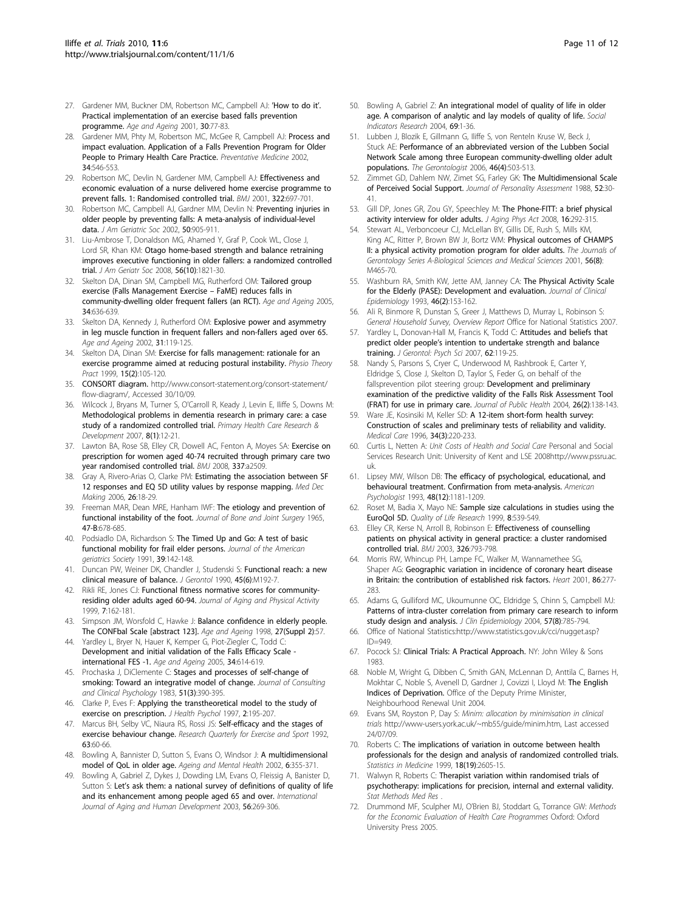- <span id="page-10-0"></span>27. Gardener MM, Buckner DM, Robertson MC, Campbell AJ: '[How to do it](http://www.ncbi.nlm.nih.gov/pubmed/11322678?dopt=Abstract)'. [Practical implementation of an exercise based falls prevention](http://www.ncbi.nlm.nih.gov/pubmed/11322678?dopt=Abstract) [programme.](http://www.ncbi.nlm.nih.gov/pubmed/11322678?dopt=Abstract) Age and Ageing 2001, 30:77-83.
- 28. Gardener MM, Phty M, Robertson MC, McGee R, Campbell AJ: Process and impact evaluation. Application of a Falls Prevention Program for Older People to Primary Health Care Practice. Preventative Medicine 2002, 34:546-553.
- 29. Robertson MC, Devlin N, Gardener MM, Campbell AJ: [Effectiveness and](http://www.ncbi.nlm.nih.gov/pubmed/11264206?dopt=Abstract) [economic evaluation of a nurse delivered home exercise programme to](http://www.ncbi.nlm.nih.gov/pubmed/11264206?dopt=Abstract) [prevent falls. 1: Randomised controlled trial.](http://www.ncbi.nlm.nih.gov/pubmed/11264206?dopt=Abstract) BMJ 2001, 322:697-701.
- 30. Robertson MC, Campbell AJ, Gardner MM, Devlin N: Preventing injuries in older people by preventing falls: A meta-analysis of individual-level data. J Am Geriatric Soc 2002, 50:905-911.
- 31. Liu-Ambrose T, Donaldson MG, Ahamed Y, Graf P, Cook WL, Close J, Lord SR, Khan KM: [Otago home-based strength and balance retraining](http://www.ncbi.nlm.nih.gov/pubmed/18795987?dopt=Abstract) [improves executive functioning in older fallers: a randomized controlled](http://www.ncbi.nlm.nih.gov/pubmed/18795987?dopt=Abstract) [trial.](http://www.ncbi.nlm.nih.gov/pubmed/18795987?dopt=Abstract) J Am Geriatr Soc 2008, 56(10):1821-30.
- 32. Skelton DA, Dinan SM, Campbell MG, Rutherford OM: [Tailored group](http://www.ncbi.nlm.nih.gov/pubmed/16267192?dopt=Abstract) [exercise \(Falls Management Exercise](http://www.ncbi.nlm.nih.gov/pubmed/16267192?dopt=Abstract) – FaME) reduces falls in [community-dwelling older frequent fallers \(an RCT\).](http://www.ncbi.nlm.nih.gov/pubmed/16267192?dopt=Abstract) Age and Ageing 2005, 34:636-639.
- 33. Skelton DA, Kennedy J, Rutherford OM: [Explosive power and asymmetry](http://www.ncbi.nlm.nih.gov/pubmed/11937474?dopt=Abstract) [in leg muscle function in frequent fallers and non-fallers aged over 65.](http://www.ncbi.nlm.nih.gov/pubmed/11937474?dopt=Abstract) Age and Ageing 2002, 31:119-125.
- 34. Skelton DA, Dinan SM: Exercise for falls management: rationale for an exercise programme aimed at reducing postural instability. Physio Theory Pract 1999, 15(2):105-120.
- 35. CONSORT diagram. [http://www.consort-statement.org/consort-statement/](http://www.consort-statement.org/consort-statement/flow-diagram/) [flow-diagram/,](http://www.consort-statement.org/consort-statement/flow-diagram/) Accessed 30/10/09.
- 36. Wilcock J, Bryans M, Turner S, O'Carroll R, Keady J, Levin E, Iliffe S, Downs M: Methodological problems in dementia research in primary care: a case study of a randomized controlled trial. Primary Health Care Research & Development 2007, 8(1):12-21.
- 37. Lawton BA, Rose SB, Elley CR, Dowell AC, Fenton A, Moyes SA: [Exercise on](http://www.ncbi.nlm.nih.gov/pubmed/19074218?dopt=Abstract) [prescription for women aged 40-74 recruited through primary care two](http://www.ncbi.nlm.nih.gov/pubmed/19074218?dopt=Abstract) [year randomised controlled trial.](http://www.ncbi.nlm.nih.gov/pubmed/19074218?dopt=Abstract) BMJ 2008, 337:a2509.
- 38. Gray A, Rivero-Arias O, Clarke PM: Estimating the association between SF 12 responses and EQ 5D utility values by response mapping. Med Dec Making 2006, 26:18-29.
- 39. Freeman MAR, Dean MRE, Hanham IWF: The etiology and prevention of functional instability of the foot. Journal of Bone and Joint Surgery 1965, 47-B:678-685.
- 40. Podsiadlo DA, Richardson S: [The Timed Up and Go: A test of basic](http://www.ncbi.nlm.nih.gov/pubmed/1991946?dopt=Abstract) [functional mobility for frail elder persons.](http://www.ncbi.nlm.nih.gov/pubmed/1991946?dopt=Abstract) Journal of the American geriatrics Society 1991, 39:142-148.
- 41. Duncan PW, Weiner DK, Chandler J, Studenski S: [Functional reach: a new](http://www.ncbi.nlm.nih.gov/pubmed/2229941?dopt=Abstract) [clinical measure of balance.](http://www.ncbi.nlm.nih.gov/pubmed/2229941?dopt=Abstract) J Gerontol 1990, 45(6):M192-7.
- 42. Rikli RE, Jones CJ: Functional fitness normative scores for communityresiding older adults aged 60-94. Journal of Aging and Physical Activity 1999, 7:162-181.
- 43. Simpson JM, Worsfold C, Hawke J: Balance confidence in elderly people. The CONFbal Scale [abstract 123]. Age and Ageing 1998, 27(Suppl 2):57.
- 44. Yardley L, Bryer N, Hauer K, Kemper G, Piot-Ziegler C, Todd C: [Development and initial validation of the Falls Efficacy Scale](http://www.ncbi.nlm.nih.gov/pubmed/16267188?dopt=Abstract)  [international FES -1.](http://www.ncbi.nlm.nih.gov/pubmed/16267188?dopt=Abstract) Age and Ageing 2005, 34:614-619.
- 45. Prochaska J, DiClemente C: [Stages and processes of self-change of](http://www.ncbi.nlm.nih.gov/pubmed/6863699?dopt=Abstract) [smoking: Toward an integrative model of change.](http://www.ncbi.nlm.nih.gov/pubmed/6863699?dopt=Abstract) Journal of Consulting and Clinical Psychology 1983, 51(3):390-395.
- 46. Clarke P, Eves F: Applying the transtheoretical model to the study of exercise on prescription. J Health Psychol 1997, 2:195-207
- 47. Marcus BH, Selby VC, Niaura RS, Rossi JS: [Self-efficacy and the stages of](http://www.ncbi.nlm.nih.gov/pubmed/1574662?dopt=Abstract) [exercise behaviour change.](http://www.ncbi.nlm.nih.gov/pubmed/1574662?dopt=Abstract) Research Quarterly for Exercise and Sport 1992, 63:60-66.
- 48. Bowling A, Bannister D, Sutton S, Evans O, Windsor J: A multidimensional model of QoL in older age. Ageing and Mental Health 2002, 6:355-371.
- 49. Bowling A, Gabriel Z, Dykes J, Dowding LM, Evans O, Fleissig A, Banister D, Sutton S: Let'[s ask them: a national survey of definitions of quality of life](http://www.ncbi.nlm.nih.gov/pubmed/14738211?dopt=Abstract) [and its enhancement among people aged 65 and over.](http://www.ncbi.nlm.nih.gov/pubmed/14738211?dopt=Abstract) International Journal of Aging and Human Development 2003, 56:269-306.
- 50. Bowling A, Gabriel Z: An integrational model of quality of life in older age. A comparison of analytic and lay models of quality of life. Social Indicators Research 2004, 69:1-36.
- 51. Lubben J, Blozik E, Gillmann G, Iliffe S, von Renteln Kruse W, Beck J, Stuck AE: [Performance of an abbreviated version of the Lubben Social](http://www.ncbi.nlm.nih.gov/pubmed/16921004?dopt=Abstract) [Network Scale among three European community-dwelling older adult](http://www.ncbi.nlm.nih.gov/pubmed/16921004?dopt=Abstract) [populations.](http://www.ncbi.nlm.nih.gov/pubmed/16921004?dopt=Abstract) The Gerontologist 2006, 46(4):503-513.
- 52. Zimmet GD, Dahlem NW, Zimet SG, Farley GK: The Multidimensional Scale of Perceived Social Support. Journal of Personality Assessment 1988, 52:30- 41.
- 53. Gill DP, Jones GR, Zou GY, Speechley M: [The Phone-FITT: a brief physical](http://www.ncbi.nlm.nih.gov/pubmed/18660552?dopt=Abstract) [activity interview for older adults.](http://www.ncbi.nlm.nih.gov/pubmed/18660552?dopt=Abstract) J Aging Phys Act 2008, 16:292-315.
- 54. Stewart AL, Verboncoeur CJ, McLellan BY, Gillis DE, Rush S, Mills KM, King AC, Ritter P, Brown BW Jr, Bortz WM: Physical outcomes of CHAMPS II: a physical activity promotion program for older adults. The Journals of Gerontology Series A-Biological Sciences and Medical Sciences 2001, 56(8): M465-70.
- 55. Washburn RA, Smith KW, Jette AM, Janney CA: [The Physical Activity Scale](http://www.ncbi.nlm.nih.gov/pubmed/8437031?dopt=Abstract) [for the Elderly \(PASE\): Development and evaluation.](http://www.ncbi.nlm.nih.gov/pubmed/8437031?dopt=Abstract) Journal of Clinical Epidemiology 1993, 46(2):153-162.
- 56. Ali R, Binmore R, Dunstan S, Greer J, Matthews D, Murray L, Robinson S: General Household Survey, Overview Report Office for National Statistics 2007.
- 57. Yardley L, Donovan-Hall M, Francis K, Todd C: Attitudes and beliefs that predict older people's intention to undertake strength and balance training. J Gerontol: Psych Sci 2007, 62:119-25.
- 58. Nandy S, Parsons S, Cryer C, Underwood M, Rashbrook E, Carter Y, Eldridge S, Close J, Skelton D, Taylor S, Feder G, on behalf of the fallsprevention pilot steering group: [Development and preliminary](http://www.ncbi.nlm.nih.gov/pubmed/15284315?dopt=Abstract) [examination of the predictive validity of the Falls Risk Assessment Tool](http://www.ncbi.nlm.nih.gov/pubmed/15284315?dopt=Abstract) [\(FRAT\) for use in primary care.](http://www.ncbi.nlm.nih.gov/pubmed/15284315?dopt=Abstract) Journal of Public Health 2004, 26(2):138-143.
- 59. Ware JE, Kosinsiki M, Keller SD: [A 12-item short-form health survey:](http://www.ncbi.nlm.nih.gov/pubmed/8628042?dopt=Abstract) [Construction of scales and preliminary tests of reliability and validity.](http://www.ncbi.nlm.nih.gov/pubmed/8628042?dopt=Abstract) Medical Care 1996, 34(3):220-233.
- Curtis L, Netten A: Unit Costs of Health and Social Care Personal and Social Services Research Unit: University of Kent and LSE 200[8http://www.pssru.ac.](http://www.pssru.ac.uk) [uk](http://www.pssru.ac.uk).
- 61. Lipsey MW, Wilson DB: [The efficacy of psychological, educational, and](http://www.ncbi.nlm.nih.gov/pubmed/8297057?dopt=Abstract) [behavioural treatment. Confirmation from meta-analysis.](http://www.ncbi.nlm.nih.gov/pubmed/8297057?dopt=Abstract) American Psychologist 1993, 48(12):1181-1209.
- 62. Roset M, Badia X, Mayo NE: [Sample size calculations in studies using the](http://www.ncbi.nlm.nih.gov/pubmed/10548869?dopt=Abstract) [EuroQol 5D.](http://www.ncbi.nlm.nih.gov/pubmed/10548869?dopt=Abstract) Quality of Life Research 1999, 8:539-549.
- 63. Elley CR, Kerse N, Arroll B, Robinson E: [Effectiveness of counselling](http://www.ncbi.nlm.nih.gov/pubmed/12689976?dopt=Abstract) [patients on physical activity in general practice: a cluster randomised](http://www.ncbi.nlm.nih.gov/pubmed/12689976?dopt=Abstract) [controlled trial.](http://www.ncbi.nlm.nih.gov/pubmed/12689976?dopt=Abstract) BMJ 2003, 326:793-798.
- 64. Morris RW, Whincup PH, Lampe FC, Walker M, Wannamethee SG, Shaper AG: [Geographic variation in incidence of coronary heart disease](http://www.ncbi.nlm.nih.gov/pubmed/11514478?dopt=Abstract) [in Britain: the contribution of established risk factors.](http://www.ncbi.nlm.nih.gov/pubmed/11514478?dopt=Abstract) Heart 2001, 86:277- 283.
- 65. Adams G, Gulliford MC, Ukoumunne OC, Eldridge S, Chinn S, Campbell MJ: Patterns of intra-cluster correlation from primary care research to inform study design and analysis. J Clin Epidemiology 2004, 57(8):785-794.
- 66. Office of National Statistics:[http://www.statistics.gov.uk/cci/nugget.asp?](http://www.statistics.gov.uk/cci/nugget.asp?ID=949)  $ID=949$
- 67. Pocock SJ: Clinical Trials: A Practical Approach. NY: John Wiley & Sons 1983.
- 68. Noble M, Wright G, Dibben C, Smith GAN, McLennan D, Anttila C, Barnes H, Mokhtar C, Noble S, Avenell D, Gardner J, Covizzi I, Lloyd M: The English Indices of Deprivation. Office of the Deputy Prime Minister, Neighbourhood Renewal Unit 2004.
- Evans SM, Royston P, Day S: Minim: allocation by minimisation in clinical trials <http://www-users.york.ac.uk/~mb55/guide/minim.htm>, Last accessed 24/07/09.
- 70. Roberts C: [The implications of variation in outcome between health](http://www.ncbi.nlm.nih.gov/pubmed/10495459?dopt=Abstract) [professionals for the design and analysis of randomized controlled trials.](http://www.ncbi.nlm.nih.gov/pubmed/10495459?dopt=Abstract) Statistics in Medicine 1999, 18(19):2605-15.
- 71. Walwyn R, Roberts C: [Therapist variation within randomised trials of](http://www.ncbi.nlm.nih.gov/pubmed/19608603?dopt=Abstract) [psychotherapy: implications for precision, internal and external validity.](http://www.ncbi.nlm.nih.gov/pubmed/19608603?dopt=Abstract) Stat Methods Med Res
- 72. Drummond MF, Sculpher MJ, O'Brien BJ, Stoddart G, Torrance GW: Methods for the Economic Evaluation of Health Care Programmes Oxford: Oxford University Press 2005.